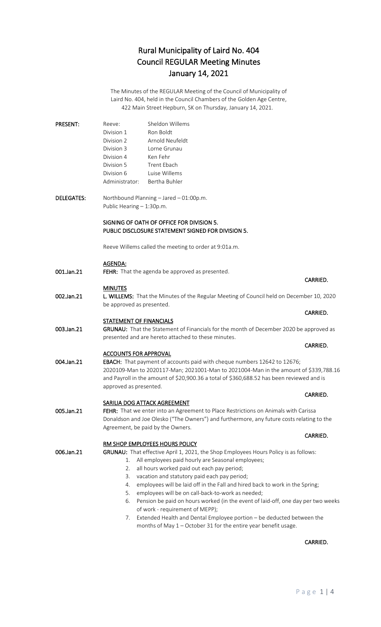The Minutes of the REGULAR Meeting of the Council of Municipality of Laird No. 404, held in the Council Chambers of the Golden Age Centre, 422 Main Street Hepburn, SK on Thursday, January 14, 2021.

| <b>PRESENT:</b> | Sheldon Willems<br>Reeve: |                 |
|-----------------|---------------------------|-----------------|
|                 | Division 1                | Ron Boldt       |
|                 | Division 2                | Arnold Neufeldt |
|                 | Division 3                | Lorne Grunau    |
|                 | Division 4                | Ken Fehr        |
|                 | Division 5                | Trent Ebach     |
|                 | Division 6                | Luise Willems   |
|                 | Administrator:            | Bertha Buhler   |

DELEGATES: Northbound Planning – Jared – 01:00p.m. Public Hearing – 1:30p.m.

#### SIGNING OF OATH OF OFFICE FOR DIVISION 5. PUBLIC DISCLOSURE STATEMENT SIGNED FOR DIVISION 5.

Reeve Willems called the meeting to order at 9:01a.m.

#### AGENDA:

001.Jan.21 FEHR: That the agenda be approved as presented.

#### MINUTES

002.Jan.21 L. WILLEMS: That the Minutes of the Regular Meeting of Council held on December 10, 2020 be approved as presented.

#### STATEMENT OF FINANCIALS

003.Jan.21 GRUNAU: That the Statement of Financials for the month of December 2020 be approved as presented and are hereto attached to these minutes.

#### ACCOUNTS FOR APPROVAL

004.Jan.21 EBACH: That payment of accounts paid with cheque numbers 12642 to 12676; 2020109-Man to 2020117-Man; 2021001-Man to 2021004-Man in the amount of \$339,788.16 and Payroll in the amount of \$20,900.36 a total of \$360,688.52 has been reviewed and is approved as presented.

#### SARILIA DOG ATTACK AGREEMENT

005.Jan.21 FEHR: That we enter into an Agreement to Place Restrictions on Animals with Carissa Donaldson and Joe Olesko ("The Owners") and furthermore, any future costs relating to the Agreement, be paid by the Owners.

#### RM SHOP EMPLOYEES HOURS POLICY

006.Jan.21 GRUNAU: That effective April 1, 2021, the Shop Employees Hours Policy is as follows:

- 1. All employees paid hourly are Seasonal employees;
- 2. all hours worked paid out each pay period;
- 3. vacation and statutory paid each pay period;
- 4. employees will be laid off in the Fall and hired back to work in the Spring;
- 5. employees will be on call-back-to-work as needed;
- 6. Pension be paid on hours worked (in the event of laid-off, one day per two weeks of work - requirement of MEPP);
- 7. Extended Health and Dental Employee portion be deducted between the months of May 1 – October 31 for the entire year benefit usage.

#### CARRIED.

#### CARRIED.

#### **CARRIED.** The contract of the contract of the contract of the contract of the contract of the contract of the contract of the contract of the contract of the contract of the contract of the contract of the contract of the

## CARRIED.

## **CARRIED.** The contract of the contract of the contract of the contract of the contract of the contract of the contract of the contract of the contract of the contract of the contract of the contract of the contract of the

## **CARRIED. CARRIED.**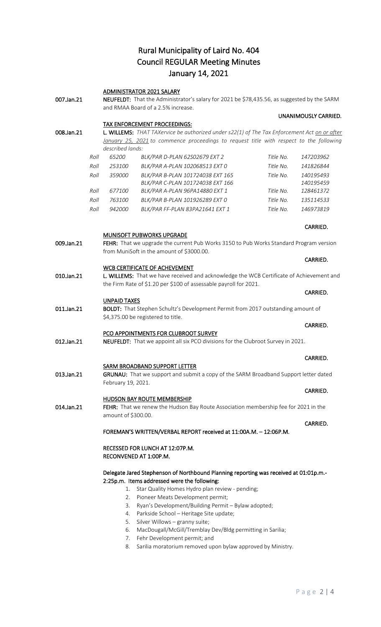ADMINISTRATOR 2021 SALARY

| 007.Jan.21 |      | NEUFELDT: That the Administrator's salary for 2021 be \$78,435.56, as suggested by the SARM<br>and RMAA Board of a 2.5% increase. |                                                                                                                                     |           |                        |
|------------|------|-----------------------------------------------------------------------------------------------------------------------------------|-------------------------------------------------------------------------------------------------------------------------------------|-----------|------------------------|
|            |      |                                                                                                                                   |                                                                                                                                     |           | UNANIMOUSLY CARRIED.   |
|            |      |                                                                                                                                   | <b>TAX ENFORCEMENT PROCEEDINGS:</b>                                                                                                 |           |                        |
| 008.Jan.21 |      |                                                                                                                                   | L. WILLEMS: THAT TAXervice be authorized under s22(1) of The Tax Enforcement Act on or after                                        |           |                        |
|            |      |                                                                                                                                   | January 25, 2021 to commence proceedings to request title with respect to the following                                             |           |                        |
|            |      | described lands:                                                                                                                  |                                                                                                                                     |           |                        |
|            | Roll | 65200                                                                                                                             | BLK/PAR D-PLAN 62S02679 EXT 2                                                                                                       | Title No. | 147203962              |
|            | Roll | 253100                                                                                                                            | BLK/PAR A-PLAN 102068513 EXT 0                                                                                                      | Title No. | 141826844              |
|            | Roll | 359000                                                                                                                            | BLK/PAR B-PLAN 101724038 EXT 165<br>BLK/PAR C-PLAN 101724038 EXT 166                                                                | Title No. | 140195493<br>140195459 |
|            | Roll | 677100                                                                                                                            | BLK/PAR A-PLAN 96PA14880 EXT 1                                                                                                      | Title No. | 128461372              |
|            | Roll | 763100                                                                                                                            | BLK/PAR B-PLAN 101926289 EXT 0                                                                                                      | Title No. | 135114533              |
|            | Roll | 942000                                                                                                                            | BLK/PAR FF-PLAN 83PA21641 EXT 1                                                                                                     | Title No. | 146973819              |
|            |      |                                                                                                                                   |                                                                                                                                     |           | CARRIED.               |
|            |      |                                                                                                                                   | MUNISOFT PUBWORKS UPGRADE                                                                                                           |           |                        |
| 009.Jan.21 |      |                                                                                                                                   | FEHR: That we upgrade the current Pub Works 3150 to Pub Works Standard Program version<br>from MuniSoft in the amount of \$3000.00. |           |                        |
|            |      |                                                                                                                                   |                                                                                                                                     |           | CARRIED.               |
|            |      |                                                                                                                                   | <b>WCB CERTIFICATE OF ACHEVEMENT</b>                                                                                                |           |                        |
| 010.Jan.21 |      |                                                                                                                                   | L. WILLEMS: That we have received and acknowledge the WCB Certificate of Achievement and                                            |           |                        |
|            |      |                                                                                                                                   | the Firm Rate of \$1.20 per \$100 of assessable payroll for 2021.                                                                   |           |                        |
|            |      |                                                                                                                                   |                                                                                                                                     |           | CARRIED.               |
| 011.Jan.21 |      | <b>UNPAID TAXES</b>                                                                                                               | BOLDT: That Stephen Schultz's Development Permit from 2017 outstanding amount of                                                    |           |                        |
|            |      |                                                                                                                                   | \$4,375.00 be registered to title.                                                                                                  |           |                        |
|            |      |                                                                                                                                   |                                                                                                                                     |           | CARRIED.               |
|            |      |                                                                                                                                   | PCO APPOINTMENTS FOR CLUBROOT SURVEY                                                                                                |           |                        |
| 012.Jan.21 |      |                                                                                                                                   | <b>NEUFELDT:</b> That we appoint all six PCO divisions for the Clubroot Survey in 2021.                                             |           |                        |
|            |      |                                                                                                                                   |                                                                                                                                     |           |                        |
|            |      |                                                                                                                                   |                                                                                                                                     |           | CARRIED.               |
|            |      |                                                                                                                                   | <b>SARM BROADBAND SUPPORT LETTER</b>                                                                                                |           |                        |
| 013.Jan.21 |      | February 19, 2021.                                                                                                                | GRUNAU: That we support and submit a copy of the SARM Broadband Support letter dated                                                |           |                        |
|            |      |                                                                                                                                   |                                                                                                                                     |           | CARRIED.               |
|            |      |                                                                                                                                   | <b>HUDSON BAY ROUTE MEMBERSHIP</b>                                                                                                  |           |                        |
| 014.Jan.21 |      |                                                                                                                                   | FEHR: That we renew the Hudson Bay Route Association membership fee for 2021 in the                                                 |           |                        |
|            |      | amount of \$300.00.                                                                                                               |                                                                                                                                     |           |                        |
|            |      |                                                                                                                                   |                                                                                                                                     |           | CARRIED.               |
|            |      |                                                                                                                                   | FOREMAN'S WRITTEN/VERBAL REPORT received at 11:00A.M. - 12:06P.M.                                                                   |           |                        |
|            |      |                                                                                                                                   | RECESSED FOR LUNCH AT 12:07P.M.                                                                                                     |           |                        |
|            |      |                                                                                                                                   | RECONVENED AT 1:00P.M.                                                                                                              |           |                        |
|            |      |                                                                                                                                   |                                                                                                                                     |           |                        |
|            |      |                                                                                                                                   | Delegate Jared Stephenson of Northbound Planning reporting was received at 01:01p.m.-                                               |           |                        |
|            |      |                                                                                                                                   | 2:25p.m. Items addressed were the following:                                                                                        |           |                        |
|            |      | 1.                                                                                                                                | Star Quality Homes Hydro plan review - pending;                                                                                     |           |                        |
|            |      | 2.                                                                                                                                | Pioneer Meats Development permit;                                                                                                   |           |                        |
|            |      | 3.                                                                                                                                | Ryan's Development/Building Permit - Bylaw adopted;                                                                                 |           |                        |
|            |      | 4.<br>5.                                                                                                                          | Parkside School - Heritage Site update;<br>Silver Willows - granny suite;                                                           |           |                        |
|            |      |                                                                                                                                   |                                                                                                                                     |           |                        |

- 6. MacDougall/McGill/Tremblay Dev/Bldg permitting in Sarilia;
- 7. Fehr Development permit; and
- 8. Sarilia moratorium removed upon bylaw approved by Ministry.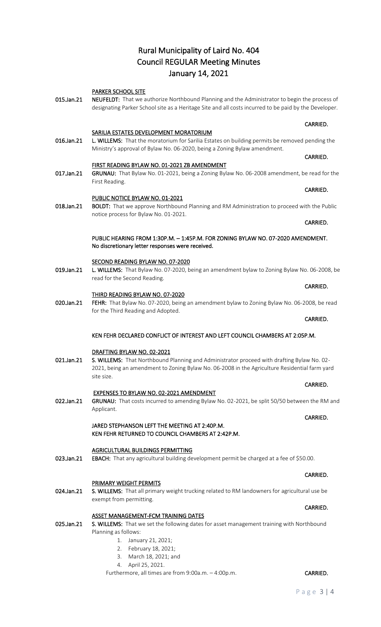#### PARKER SCHOOL SITE

015.Jan.21 NEUFELDT: That we authorize Northbound Planning and the Administrator to begin the process of designating Parker School site as a Heritage Site and all costs incurred to be paid by the Developer.

**CARRIED. CARRIED.** 

**CARRIED.** The contract of the contract of the contract of the contract of the contract of the contract of the contract of the contract of the contract of the contract of the contract of the contract of the contract of the

**CARRIED.** The contract of the contract of the contract of the contract of the contract of the contract of the contract of the contract of the contract of the contract of the contract of the contract of the contract of the

**CARRIED.** The contract of the contract of the contract of the contract of the contract of the contract of the contract of the contract of the contract of the contract of the contract of the contract of the contract of the

#### SARILIA ESTATES DEVELOPMENT MORATORIUM

016.Jan.21 L. WILLEMS: That the moratorium for Sarilia Estates on building permits be removed pending the Ministry's approval of Bylaw No. 06-2020, being a Zoning Bylaw amendment.

#### FIRST READING BYLAW NO. 01-2021 ZB AMENDMENT

017.Jan.21 GRUNAU: That Bylaw No. 01-2021, being a Zoning Bylaw No. 06-2008 amendment, be read for the First Reading.

## PUBLIC NOTICE BYLAW NO. 01-2021

018.Jan.21 BOLDT: That we approve Northbound Planning and RM Administration to proceed with the Public notice process for Bylaw No. 01-2021.

#### PUBLIC HEARING FROM 1:30P.M. – 1:45P.M. FOR ZONING BYLAW NO. 07-2020 AMENDMENT. No discretionary letter responses were received.

#### SECOND READING BYLAW NO. 07-2020

019.Jan.21 L. WILLEMS: That Bylaw No. 07-2020, being an amendment bylaw to Zoning Bylaw No. 06-2008, be read for the Second Reading.

#### THIRD READING BYLAW NO. 07-2020

020.Jan.21 FEHR: That Bylaw No. 07-2020, being an amendment bylaw to Zoning Bylaw No. 06-2008, be read for the Third Reading and Adopted.

### KEN FEHR DECLARED CONFLICT OF INTEREST AND LEFT COUNCIL CHAMBERS AT 2:05P.M.

#### DRAFTING BYLAW NO. 02-2021

021.Jan.21 S. WILLEMS: That Northbound Planning and Administrator proceed with drafting Bylaw No. 02-2021, being an amendment to Zoning Bylaw No. 06-2008 in the Agriculture Residential farm yard site size.

#### EXPENSES TO BYLAW NO. 02-2021 AMENDMENT

022.Jan.21 GRUNAU: That costs incurred to amending Bylaw No. 02-2021, be split 50/50 between the RM and Applicant.

#### JARED STEPHANSON LEFT THE MEETING AT 2:40P.M. KEN FEHR RETURNED TO COUNCIL CHAMBERS AT 2:42P.M.

#### AGRICULTURAL BUILDINGS PERMITTING

023.Jan.21 EBACH: That any agricultural building development permit be charged at a fee of \$50.00.

#### PRIMARY WEIGHT PERMITS

024.Jan.21 S. WILLEMS: That all primary weight trucking related to RM landowners for agricultural use be exempt from permitting.

#### ASSET MANAGEMENT-FCM TRAINING DATES

025.Jan.21 S. WILLEMS: That we set the following dates for asset management training with Northbound Planning as follows:

- 1. January 21, 2021;
- 2. February 18, 2021;
- 3. March 18, 2021; and
- 4. April 25, 2021.

Furthermore, all times are from 9:00a.m. - 4:00p.m. CARRIED.

**CARRIED.** The contract of the contract of the contract of the contract of the contract of the contract of the contract of the contract of the contract of the contract of the contract of the contract of the contract of the

## **CARRIED. CARRIED.**

### **CARRIED.** The contract of the contract of the contract of the contract of the contract of the contract of the contract of the contract of the contract of the contract of the contract of the contract of the contract of the

#### **CARRIED.** The contract of the contract of the contract of the contract of the contract of the contract of the contract of the contract of the contract of the contract of the contract of the contract of the contract of the

## CARRIED.

#### **CARRIED.** The contract of the contract of the contract of the contract of the contract of the contract of the contract of the contract of the contract of the contract of the contract of the contract of the contract of the